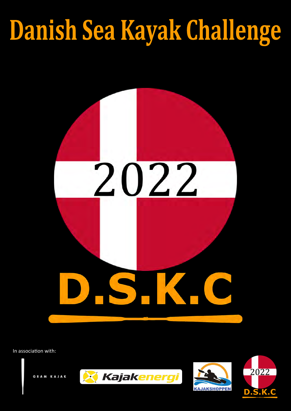# Danish Sea Kayak Challenge

# 2022



#### In association with:







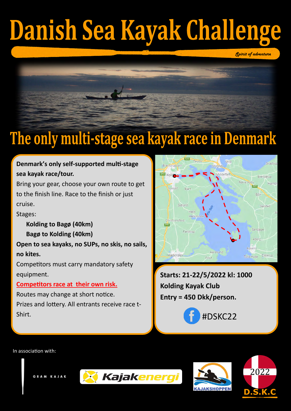# Danish Sea Kayak Challenge



# The only multi-stage sea kayak race in Denmark

**Starts: 21-22/5/2022 kl: 1000 Kolding Kayak Club Entry = 450 Dkk/person.**



#### **Denmark's only self-supported multi-stage sea kayak race/tour.**

Bring your gear, choose your own route to get to the finish line. Race to the finish or just cruise.

Stages:

**Kolding to Bagø (40km) Bagø to Kolding (40km)**

**Open to sea kayaks, no SUPs, no skis, no sails, no kites.**

Competitors must carry mandatory safety equipment.

#### **Competitors race at their own risk.**

Routes may change at short notice.

Prizes and lottery. All entrants receive race t-





#### In association with:

GRAM KAJAK







*Spirit of adventure*

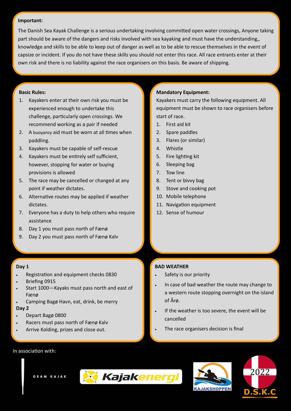#### **Basic Rules:**

- 1. Kayakers enter at their own risk you must be experienced enough to undertake this challenge, particularly open crossings. We recommend working as a pair if needed
- 2. A buoyancy aid must be worn at all times when paddling.
- 3. Kayakers must be capable of self-rescue
- 4. Kayakers must be entirely self sufficient, however, stopping for water or buying provisions is allowed
- 5. The race may be cancelled or changed at any point if weather dictates.
- 6. Alternative routes may be applied if weather dictates.
- 7. Everyone has a duty to help others who require assistance
- 8. Day 1 you must pass north of Fænø
- 9. Day 2 you must pass north of Fænø Kalv

#### **Important:**

The Danish Sea Kayak Challenge is a serious undertaking involving committed open water crossings, Anyone taking part should be aware of the dangers and risks involved with sea kayaking and must have the understanding,, knowledge and skills to be able to keep out of danger as well as to be able to rescue themselves in the event of capsize or incident. If you do not have these skills you should not enter this race. All race entrants enter at their own risk and there is no liability against the race organisers on this basis. Be aware of shipping.

- Safety is our priority
- In case of bad weather the route may change to a western route stopping overnight on the island of Årø.
	-

#### **Mandatory Equipment:**

Kayakers must carry the following equipment. All equipment must be shown to race organisers before start of race.

- 1. First aid kit
- 2. Spare paddles
- 3. Flares (or similar)
- 4. Whistle
- 5. Fire lighting kit
- 6. Sleeping bag
- 7. Tow line
- 8. Tent or bivvy bag
- 9. Stove and cooking pot
- 10. Mobile telephone
- 11. Navigation equipment
- 12. Sense of humour

#### In association with:









#### **Day 1**

- Registration and equipment checks 0830
- Briefing 0915
- Start 1000—Kayaks must pass north and east of Fænø
- Camping Bagø Havn, eat, drink, be merry

#### **Day 2**

- Depart Bagø 0800
- Racers must pass north of Fænø Kalv
- Arrive Kolding, prizes and close out.
- If the weather is too severe, the event will be cancelled
- The race organisers decision is final

#### **BAD WEATHER**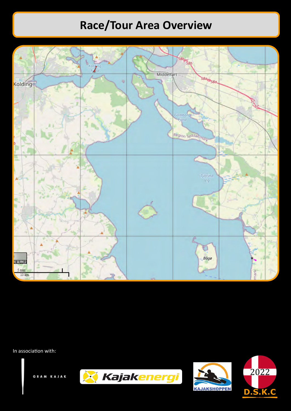#### In association with:

GRAM KAJAK







## **Race/Tour Area Overview**

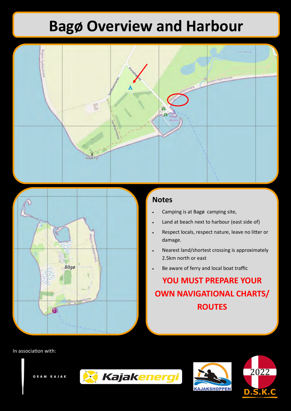#### In association with:

GRAM KAJAK







- Camping is at Bagø camping site,
- Land at beach next to harbour (east side of)
- Respect locals, respect nature, leave no litter or damage.
- Nearest land/shortest crossing is approximately 2.5km north or east
- Be aware of ferry and local boat traffic

## **Bagø Overview and Harbour**





#### **Notes**

### **YOU MUST PREPARE YOUR OWN NAVIGATIONAL CHARTS/ ROUTES**